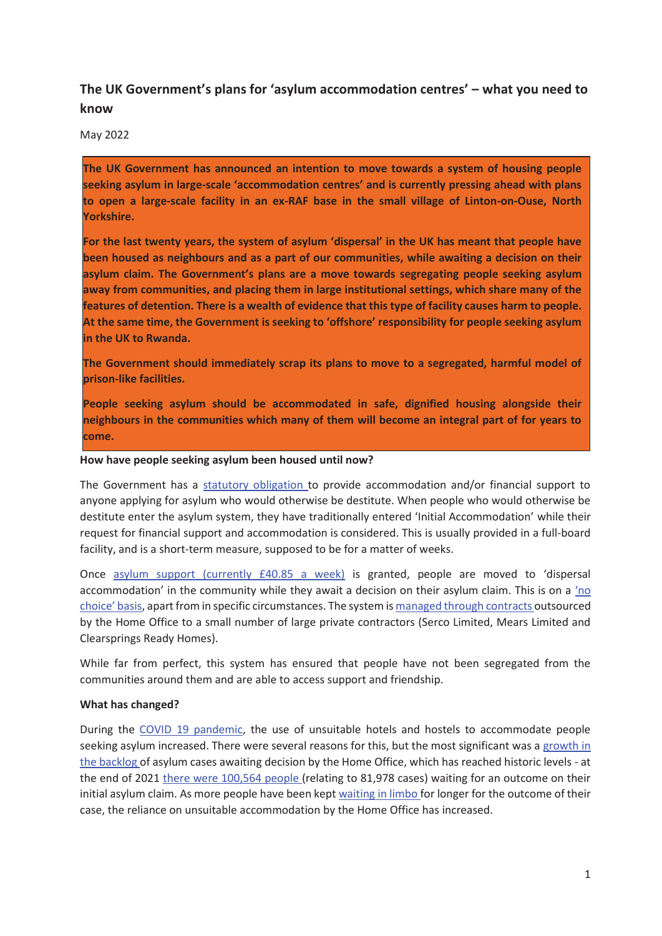# **The UK Government's plans for 'asylum accommodation centres' – what you need to know**

May 2022

**The UK Government has announced an intention to move towards a system of housing people seeking asylum in large-scale 'accommodation centres' and is currently pressing ahead with plans to open a large-scale facility in an ex-RAF base in the small village of Linton-on-Ouse, North Yorkshire.** 

**For the last twenty years, the system of asylum 'dispersal' in the UK has meant that people have been housed as neighbours and as a part of our communities, while awaiting a decision on their asylum claim. The Government's plans are a move towards segregating people seeking asylum away from communities, and placing them in large institutional settings, which share many of the features of detention. There is a wealth of evidence that this type of facility causes harm to people. At the same time, the Government is seeking to 'offshore' responsibility for people seeking asylum in the UK to Rwanda.** 

**The Government should immediately scrap its plans to move to a segregated, harmful model of prison-like facilities.** 

**People seeking asylum should be accommodated in safe, dignified housing alongside their neighbours in the communities which many of them will become an integral part of for years to come.** 

#### **How have people seeking asylum been housed until now?**

The Government has a statutory obligation to provide accommodation and/or financial support to anyone applying for asylum who would otherwise be destitute. When people who would otherwise be destitute enter the asylum system, they have traditionally entered 'Initial Accommodation' while their request for financial support and accommodation is considered. This is usually provided in a full-board facility, and is a short-term measure, supposed to be for a matter of weeks.

Once asylum support (currently £40.85 a week) is granted, people are moved to 'dispersal accommodation' in the community while they await a decision on their asylum claim. This is on a 'no choice' basis, apart from in specific circumstances. The system is managed through contracts outsourced by the Home Office to a small number of large private contractors (Serco Limited, Mears Limited and Clearsprings Ready Homes).

While far from perfect, this system has ensured that people have not been segregated from the communities around them and are able to access support and friendship.

## **What has changed?**

During the COVID 19 pandemic, the use of unsuitable hotels and hostels to accommodate people seeking asylum increased. There were several reasons for this, but the most significant was a growth in the backlog of asylum cases awaiting decision by the Home Office, which has reached historic levels - at the end of 2021 there were 100,564 people (relating to 81,978 cases) waiting for an outcome on their initial asylum claim. As more people have been kept waiting in limbo for longer for the outcome of their case, the reliance on unsuitable accommodation by the Home Office has increased.